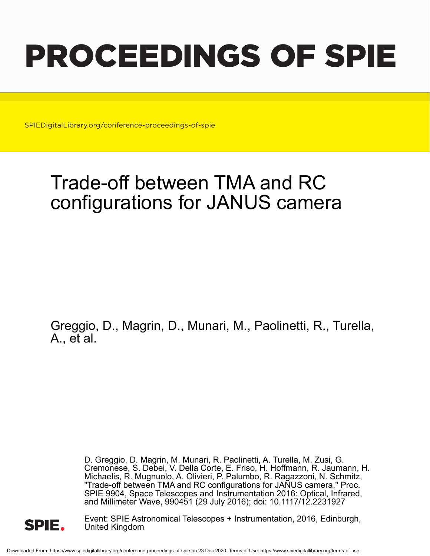# PROCEEDINGS OF SPIE

SPIEDigitalLibrary.org/conference-proceedings-of-spie

# Trade-off between TMA and RC configurations for JANUS camera

Greggio, D., Magrin, D., Munari, M., Paolinetti, R., Turella, A., et al.

> D. Greggio, D. Magrin, M. Munari, R. Paolinetti, A. Turella, M. Zusi, G. Cremonese, S. Debei, V. Della Corte, E. Friso, H. Hoffmann, R. Jaumann, H. Michaelis, R. Mugnuolo, A. Olivieri, P. Palumbo, R. Ragazzoni, N. Schmitz, "Trade-off between TMA and RC configurations for JANUS camera," Proc. SPIE 9904, Space Telescopes and Instrumentation 2016: Optical, Infrared, and Millimeter Wave, 990451 (29 July 2016); doi: 10.1117/12.2231927



Event: SPIE Astronomical Telescopes + Instrumentation, 2016, Edinburgh, United Kingdom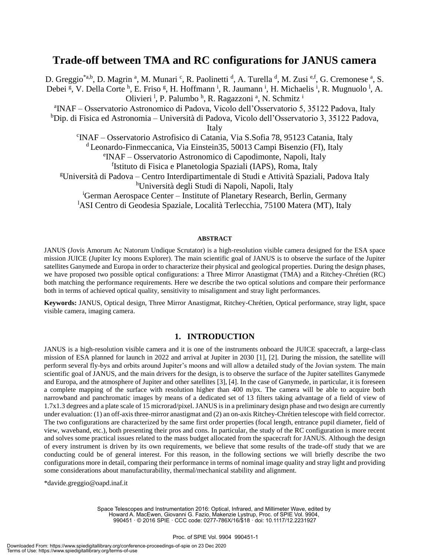# **Trade-off between TMA and RC configurations for JANUS camera**

D. Greggio<sup>\*a,b</sup>, D. Magrin<sup>a</sup>, M. Munari<sup>c</sup>, R. Paolinetti<sup>d</sup>, A. Turella<sup>d</sup>, M. Zusi<sup>e,f</sup>, G. Cremonese<sup>a</sup>, S. Debei <sup>g</sup>, V. Della Corte <sup>h</sup>, E. Friso <sup>g</sup>, H. Hoffmann <sup>i</sup>, R. Jaumann <sup>i</sup>, H. Michaelis <sup>i</sup>, R. Mugnuolo <sup>1</sup>, A. Olivieri<sup>1</sup>, P. Palumbo<sup>h</sup>, R. Ragazzoni<sup>a</sup>, N. Schmitz<sup>i</sup> a INAF – Osservatorio Astronomico di Padova, Vicolo dell'Osservatorio 5, 35122 Padova, Italy <sup>b</sup>Dip. di Fisica ed Astronomia – Università di Padova, Vicolo dell'Osservatorio 3, 35122 Padova, Italy c INAF – Osservatorio Astrofisico di Catania, Via S.Sofia 78, 95123 Catania, Italy <sup>d</sup> Leonardo-Finmeccanica, Via Einstein35, 50013 Campi Bisenzio (FI), Italy e INAF – Osservatorio Astronomico di Capodimonte, Napoli, Italy f Istituto di Fisica e Planetologia Spaziali (IAPS), Roma, Italy <sup>g</sup>Università di Padova – Centro Interdipartimentale di Studi e Attività Spaziali, Padova Italy <sup>h</sup>Università degli Studi di Napoli, Napoli, Italy <sup>i</sup>German Aerospace Center – Institute of Planetary Research, Berlin, Germany <sup>l</sup>ASI Centro di Geodesia Spaziale, Località Terlecchia, 75100 Matera (MT), Italy

#### **ABSTRACT**

JANUS (Jovis Amorum Ac Natorum Undique Scrutator) is a high-resolution visible camera designed for the ESA space mission JUICE (Jupiter Icy moons Explorer). The main scientific goal of JANUS is to observe the surface of the Jupiter satellites Ganymede and Europa in order to characterize their physical and geological properties. During the design phases, we have proposed two possible optical configurations: a Three Mirror Anastigmat (TMA) and a Ritchey-Chrétien (RC) both matching the performance requirements. Here we describe the two optical solutions and compare their performance both in terms of achieved optical quality, sensitivity to misalignment and stray light performances.

**Keywords:** JANUS, Optical design, Three Mirror Anastigmat, Ritchey-Chrétien, Optical performance, stray light, space visible camera, imaging camera.

### **1. INTRODUCTION**

JANUS is a high-resolution visible camera and it is one of the instruments onboard the JUICE spacecraft, a large-class mission of ESA planned for launch in 2022 and arrival at Jupiter in 2030 [1], [2]. During the mission, the satellite will perform several fly-bys and orbits around Jupiter's moons and will allow a detailed study of the Jovian system. The main scientific goal of JANUS, and the main drivers for the design, is to observe the surface of the Jupiter satellites Ganymede and Europa, and the atmosphere of Jupiter and other satellites [3], [4]. In the case of Ganymede, in particular, it is foreseen a complete mapping of the surface with resolution higher than 400 m/px. The camera will be able to acquire both narrowband and panchromatic images by means of a dedicated set of 13 filters taking advantage of a field of view of 1.7x1.3 degrees and a plate scale of 15 microrad/pixel. JANUS is in a preliminary design phase and two design are currently under evaluation: (1) an off-axis three-mirror anastigmat and (2) an on-axis Ritchey-Chrétien telescope with field corrector. The two configurations are characterized by the same first order properties (focal length, entrance pupil diameter, field of view, waveband, etc.), both presenting their pros and cons. In particular, the study of the RC configuration is more recent and solves some practical issues related to the mass budget allocated from the spacecraft for JANUS. Although the design of every instrument is driven by its own requirements, we believe that some results of the trade-off study that we are conducting could be of general interest. For this reason, in the following sections we will briefly describe the two configurations more in detail, comparing their performance in terms of nominal image quality and stray light and providing some considerations about manufacturability, thermal/mechanical stability and alignment.

\*davide.greggio@oapd.inaf.it

Space Telescopes and Instrumentation 2016: Optical, Infrared, and Millimeter Wave, edited by Howard A. MacEwen, Giovanni G. Fazio, Makenzie Lystrup, Proc. of SPIE Vol. 9904, 990451 · © 2016 SPIE · CCC code: 0277-786X/16/\$18 · doi: 10.1117/12.2231927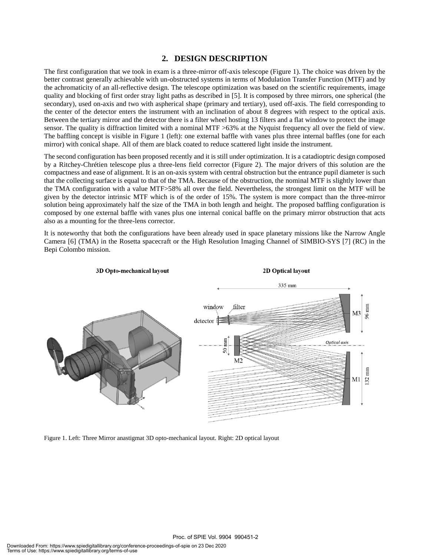## **2. DESIGN DESCRIPTION**

The first configuration that we took in exam is a three-mirror off-axis telescope (Figure 1). The choice was driven by the better contrast generally achievable with un-obstructed systems in terms of Modulation Transfer Function (MTF) and by the achromaticity of an all-reflective design. The telescope optimization was based on the scientific requirements, image quality and blocking of first order stray light paths as described in [5]. It is composed by three mirrors, one spherical (the secondary), used on-axis and two with aspherical shape (primary and tertiary), used off-axis. The field corresponding to the center of the detector enters the instrument with an inclination of about 8 degrees with respect to the optical axis. Between the tertiary mirror and the detector there is a filter wheel hosting 13 filters and a flat window to protect the image sensor. The quality is diffraction limited with a nominal MTF >63% at the Nyquist frequency all over the field of view. The baffling concept is visible in Figure 1 (left): one external baffle with vanes plus three internal baffles (one for each mirror) with conical shape. All of them are black coated to reduce scattered light inside the instrument.

The second configuration has been proposed recently and it is still under optimization. It is a catadioptric design composed by a Ritchey-Chrétien telescope plus a three-lens field corrector (Figure 2). The major drivers of this solution are the compactness and ease of alignment. It is an on-axis system with central obstruction but the entrance pupil diameter is such that the collecting surface is equal to that of the TMA. Because of the obstruction, the nominal MTF is slightly lower than the TMA configuration with a value MTF>58% all over the field. Nevertheless, the strongest limit on the MTF will be given by the detector intrinsic MTF which is of the order of 15%. The system is more compact than the three-mirror solution being approximately half the size of the TMA in both length and height. The proposed baffling configuration is composed by one external baffle with vanes plus one internal conical baffle on the primary mirror obstruction that acts also as a mounting for the three-lens corrector.

It is noteworthy that both the configurations have been already used in space planetary missions like the Narrow Angle Camera [6] (TMA) in the Rosetta spacecraft or the High Resolution Imaging Channel of SIMBIO-SYS [7] (RC) in the Bepi Colombo mission.



Proc. of SPIE Vol. 9904 990451-2

Figure 1. Left: Three Mirror anastigmat 3D opto-mechanical layout. Right: 2D optical layout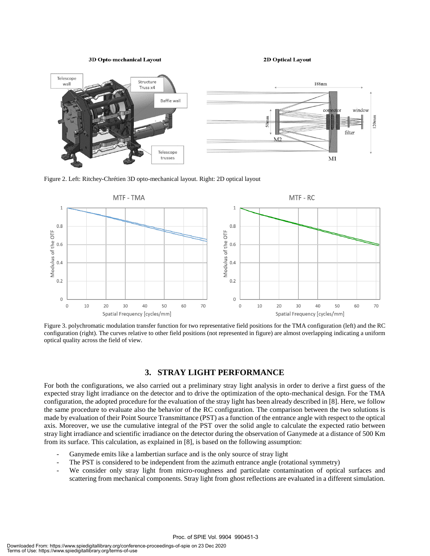#### 3D Opto -mechanical Layout

2D Optical Layout



Figure 2. Left: Ritchey-Chrétien 3D opto-mechanical layout. Right: 2D optical layout



Figure 3. polychromatic modulation transfer function for two representative field positions for the TMA configuration (left) and the RC configuration (right). The curves relative to other field positions (not represented in figure) are almost overlapping indicating a uniform optical quality across the field of view.

#### **3. STRAY LIGHT PERFORMANCE**

expected stray light irradiance on the detector and to drive the optimization of the opto-mechanical design. For the TMA For both the configurations, we also carried out a preliminary stray light analysis in order to derive a first guess of the configuration, the adopted procedure for the evaluation of the stray light has been already described in [8]. Here, we follow made by evaluation of their Point Source Transmittance (PST) as a function of the entrance angle with respect to the optical from its surface. This calculation, as explained in [8], is based on the following assumption: the same procedure to evaluate also the behavior of the RC configuration. The comparison between the two solutions is axis. Moreover, we use the cumulative integral of the PST over the solid angle to calculate the expected ratio between stray light irradiance and scientific irradiance on the detector during the observation of Ganymede at a distance of 500 Km

- Ganymede emits like a lambertian surface and is the only source of stray light
- <sup>2</sup> The PST is considered to be independent from the azimuth entrance angle (rotational symmetry)
- $\frac{1}{2}$  and scattering from mechanical components. Stray light from ghost reflections are evaluated in a different simulation. We consider only stray light from micro-roughness and particulate contamination of optical surfaces and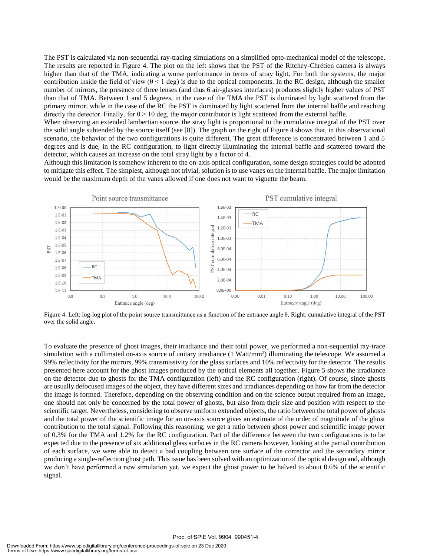The PST is calculated via non-sequential ray-tracing simulations on a simplified opto-mechanical model of the telescope. The results are reported in Figure 4. The plot on the left shows that the PST of the Ritchey-Chrétien camera is always higher than that of the TMA, indicating a worse performance in terms of stray light. For both the systems, the major contribution inside the field of view  $(\theta \leq 1 \text{ deg})$  is due to the optical components. In the RC design, although the smaller number of mirrors, the presence of three lenses (and thus 6 air-glasses interfaces) produces slightly higher values of PST than that of TMA. Between 1 and 5 degrees, in the case of the TMA the PST is dominated by light scattered from the primary mirror, while in the case of the RC the PST is dominated by light scattered from the internal baffle and reaching directly the detector. Finally, for  $\theta > 10$  deg, the major contributor is light scattered from the external baffle.

When observing an extended lambertian source, the stray light is proportional to the cumulative integral of the PST over the solid angle subtended by the source itself (see [8]). The graph on the right of Figure 4 shows that, in this observational scenario, the behavior of the two configurations is quite different. The great difference is concentrated between 1 and 5 degrees and is due, in the RC configuration, to light directly illuminating the internal baffle and scattered toward the detector, which causes an increase on the total stray light by a factor of 4.

Although this limitation is somehow inherent to the on-axis optical configuration, some design strategies could be adopted to mitigate this effect. The simplest, although not trivial, solution is to use vanes on the internal baffle. The major limitation would be the maximum depth of the vanes allowed if one does not want to vignette the beam.



Figure 4. Left: log-log plot of the point source transmittance as a function of the entrance angle θ. Right: cumulative integral of the PST over the solid angle.

To evaluate the presence of ghost images, their irradiance and their total power, we performed a non-sequential ray-trace simulation with a collimated on-axis source of unitary irradiance (1 Watt/mm<sup>2</sup>) illuminating the telescope. We assumed a 99% reflectivity for the mirrors, 99% transmissivity for the glass surfaces and 10% reflectivity for the detector. The results presented here account for the ghost images produced by the optical elements all together. Figure 5 shows the irradiance on the detector due to ghosts for the TMA configuration (left) and the RC configuration (right). Of course, since ghosts are usually defocused images of the object, they have different sizes and irradiances depending on how far from the detector the image is formed. Therefore, depending on the observing condition and on the science output required from an image, one should not only be concerned by the total power of ghosts, but also from their size and position with respect to the scientific target. Nevertheless, considering to observe uniform extended objects, the ratio between the total power of ghosts and the total power of the scientific image for an on-axis source gives an estimate of the order of magnitude of the ghost contribution to the total signal. Following this reasoning, we get a ratio between ghost power and scientific image power of 0.3% for the TMA and 1.2% for the RC configuration. Part of the difference between the two configurations is to be expected due to the presence of six additional glass surfaces in the RC camera however, looking at the partial contribution of each surface, we were able to detect a bad coupling between one surface of the corrector and the secondary mirror producing a single-reflection ghost path. This issue has been solved with an optimization of the optical design and, although we don't have performed a new simulation yet, we expect the ghost power to be halved to about 0.6% of the scientific signal.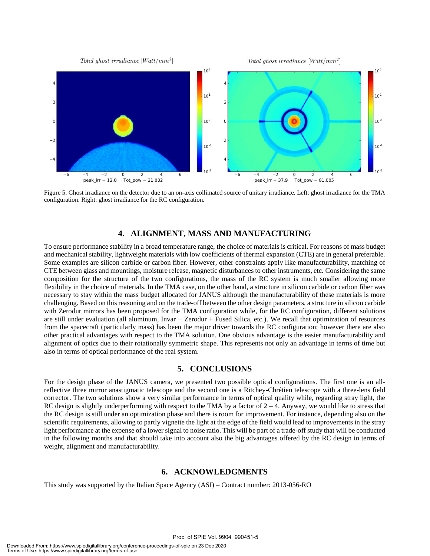

Figure 5. Ghost irradiance on the detector due to an on-axis collimated source of unitary irradiance. Left: ghost irradiance for the TMA configuration. Right: ghost irradiance for the RC configuration.

#### **4. ALIGNMENT, MASS AND MANUFACTURING**

To ensure performance stability in a broad temperature range, the choice of materials is critical. For reasons of mass budget and mechanical stability, lightweight materials with low coefficients of thermal expansion (CTE) are in general preferable. Some examples are silicon carbide or carbon fiber. However, other constraints apply like manufacturability, matching of CTE between glass and mountings, moisture release, magnetic disturbances to other instruments, etc. Considering the same composition for the structure of the two configurations, the mass of the RC system is much smaller allowing more flexibility in the choice of materials. In the TMA case, on the other hand, a structure in silicon carbide or carbon fiber was necessary to stay within the mass budget allocated for JANUS although the manufacturability of these materials is more challenging. Based on this reasoning and on the trade-off between the other design parameters, a structure in silicon carbide with Zerodur mirrors has been proposed for the TMA configuration while, for the RC configuration, different solutions are still under evaluation (all aluminum, Invar + Zerodur + Fused Silica, etc.). We recall that optimization of resources from the spacecraft (particularly mass) has been the major driver towards the RC configuration; however there are also other practical advantages with respect to the TMA solution. One obvious advantage is the easier manufacturability and alignment of optics due to their rotationally symmetric shape. This represents not only an advantage in terms of time but also in terms of optical performance of the real system.

#### **5. CONCLUSIONS**

For the design phase of the JANUS camera, we presented two possible optical configurations. The first one is an allreflective three mirror anastigmatic telescope and the second one is a Ritchey-Chrétien telescope with a three-lens field corrector. The two solutions show a very similar performance in terms of optical quality while, regarding stray light, the RC design is slightly underperforming with respect to the TMA by a factor of  $2 - 4$ . Anyway, we would like to stress that the RC design is still under an optimization phase and there is room for improvement. For instance, depending also on the scientific requirements, allowing to partly vignette the light at the edge of the field would lead to improvements in the stray light performance at the expense of a lower signal to noise ratio. This will be part of a trade-off study that will be conducted in the following months and that should take into account also the big advantages offered by the RC design in terms of weight, alignment and manufacturability.

#### **6. ACKNOWLEDGMENTS**

This study was supported by the Italian Space Agency (ASI) – Contract number: 2013-056-RO